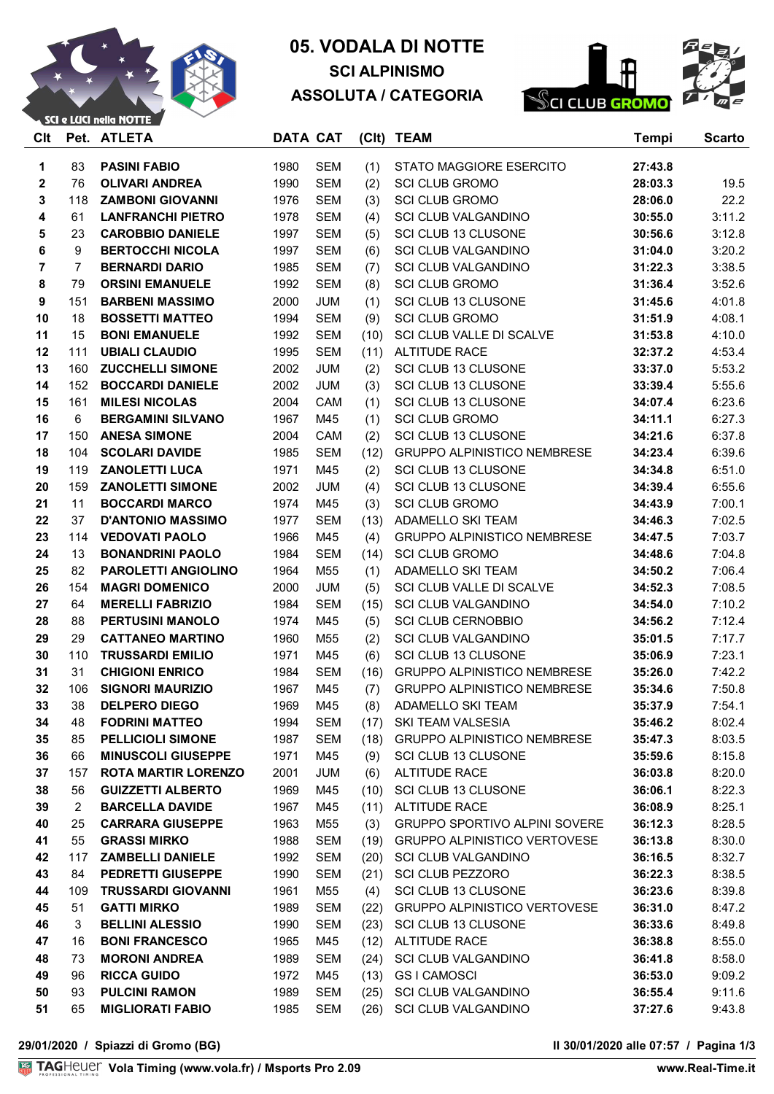

# **05. VODALA DI NOTTE SCI ALPINISMO ASSOLUTA / CATEGORIA**



| Clt          |                | Pet. ATLETA                | <b>DATA CAT</b> |            |      | (Clt) TEAM                           | <b>Tempi</b> | <b>Scarto</b> |
|--------------|----------------|----------------------------|-----------------|------------|------|--------------------------------------|--------------|---------------|
| 1            | 83             | <b>PASINI FABIO</b>        | 1980            | <b>SEM</b> | (1)  | STATO MAGGIORE ESERCITO              | 27:43.8      |               |
| $\mathbf{2}$ | 76             | <b>OLIVARI ANDREA</b>      | 1990            | <b>SEM</b> | (2)  | <b>SCI CLUB GROMO</b>                | 28:03.3      | 19.5          |
| 3            | 118            | <b>ZAMBONI GIOVANNI</b>    | 1976            | <b>SEM</b> | (3)  | <b>SCI CLUB GROMO</b>                | 28:06.0      | 22.2          |
| 4            | 61             | <b>LANFRANCHI PIETRO</b>   | 1978            | <b>SEM</b> | (4)  | <b>SCI CLUB VALGANDINO</b>           | 30:55.0      | 3:11.2        |
| 5            | 23             | <b>CAROBBIO DANIELE</b>    | 1997            | <b>SEM</b> | (5)  | <b>SCI CLUB 13 CLUSONE</b>           | 30:56.6      | 3:12.8        |
| 6            | 9              | <b>BERTOCCHI NICOLA</b>    | 1997            | <b>SEM</b> | (6)  | <b>SCI CLUB VALGANDINO</b>           | 31:04.0      | 3:20.2        |
| 7            | $\overline{7}$ | <b>BERNARDI DARIO</b>      | 1985            | <b>SEM</b> | (7)  | <b>SCI CLUB VALGANDINO</b>           | 31:22.3      | 3:38.5        |
| 8            | 79             | <b>ORSINI EMANUELE</b>     | 1992            | <b>SEM</b> | (8)  | <b>SCI CLUB GROMO</b>                | 31:36.4      | 3:52.6        |
| 9            | 151            | <b>BARBENI MASSIMO</b>     | 2000            | <b>JUM</b> | (1)  | SCI CLUB 13 CLUSONE                  | 31:45.6      | 4:01.8        |
| 10           | 18             | <b>BOSSETTI MATTEO</b>     | 1994            | <b>SEM</b> | (9)  | <b>SCI CLUB GROMO</b>                | 31:51.9      | 4:08.1        |
| 11           | 15             | <b>BONI EMANUELE</b>       | 1992            | <b>SEM</b> | (10) | SCI CLUB VALLE DI SCALVE             | 31:53.8      | 4:10.0        |
| 12           | 111            | <b>UBIALI CLAUDIO</b>      | 1995            | <b>SEM</b> | (11) | <b>ALTITUDE RACE</b>                 | 32:37.2      | 4:53.4        |
| 13           | 160            | <b>ZUCCHELLI SIMONE</b>    | 2002            | <b>JUM</b> | (2)  | SCI CLUB 13 CLUSONE                  | 33:37.0      | 5:53.2        |
| 14           | 152            | <b>BOCCARDI DANIELE</b>    | 2002            | <b>JUM</b> | (3)  | SCI CLUB 13 CLUSONE                  | 33:39.4      | 5:55.6        |
| 15           | 161            | <b>MILESI NICOLAS</b>      | 2004            | CAM        | (1)  | SCI CLUB 13 CLUSONE                  | 34:07.4      | 6:23.6        |
| 16           | 6              | <b>BERGAMINI SILVANO</b>   | 1967            | M45        | (1)  | <b>SCI CLUB GROMO</b>                | 34:11.1      | 6:27.3        |
| 17           | 150            | <b>ANESA SIMONE</b>        | 2004            | CAM        | (2)  | SCI CLUB 13 CLUSONE                  | 34:21.6      | 6:37.8        |
| 18           | 104            | <b>SCOLARI DAVIDE</b>      | 1985            | <b>SEM</b> | (12) | <b>GRUPPO ALPINISTICO NEMBRESE</b>   | 34:23.4      | 6:39.6        |
| 19           | 119            | <b>ZANOLETTI LUCA</b>      | 1971            | M45        | (2)  | SCI CLUB 13 CLUSONE                  | 34:34.8      | 6:51.0        |
| 20           | 159            | <b>ZANOLETTI SIMONE</b>    | 2002            | <b>JUM</b> | (4)  | SCI CLUB 13 CLUSONE                  | 34:39.4      | 6:55.6        |
| 21           | 11             | <b>BOCCARDI MARCO</b>      | 1974            | M45        | (3)  | <b>SCI CLUB GROMO</b>                | 34:43.9      | 7:00.1        |
| 22           | 37             | <b>D'ANTONIO MASSIMO</b>   | 1977            | <b>SEM</b> | (13) | ADAMELLO SKI TEAM                    | 34:46.3      | 7:02.5        |
| 23           | 114            | <b>VEDOVATI PAOLO</b>      | 1966            | M45        | (4)  | <b>GRUPPO ALPINISTICO NEMBRESE</b>   | 34:47.5      | 7:03.7        |
| 24           | 13             | <b>BONANDRINI PAOLO</b>    | 1984            | <b>SEM</b> | (14) | <b>SCI CLUB GROMO</b>                | 34:48.6      | 7:04.8        |
| 25           | 82             | <b>PAROLETTI ANGIOLINO</b> | 1964            | M55        | (1)  | ADAMELLO SKI TEAM                    | 34:50.2      | 7:06.4        |
| 26           | 154            | <b>MAGRI DOMENICO</b>      | 2000            | <b>JUM</b> | (5)  | SCI CLUB VALLE DI SCALVE             | 34:52.3      | 7:08.5        |
| 27           | 64             | <b>MERELLI FABRIZIO</b>    | 1984            | <b>SEM</b> | (15) | <b>SCI CLUB VALGANDINO</b>           | 34:54.0      | 7:10.2        |
| 28           | 88             | <b>PERTUSINI MANOLO</b>    | 1974            | M45        | (5)  | <b>SCI CLUB CERNOBBIO</b>            | 34:56.2      | 7:12.4        |
| 29           | 29             | <b>CATTANEO MARTINO</b>    | 1960            | M55        | (2)  | <b>SCI CLUB VALGANDINO</b>           | 35:01.5      | 7:17.7        |
| 30           | 110            | <b>TRUSSARDI EMILIO</b>    | 1971            | M45        | (6)  | SCI CLUB 13 CLUSONE                  | 35:06.9      | 7:23.1        |
| 31           | 31             | <b>CHIGIONI ENRICO</b>     | 1984            | <b>SEM</b> | (16) | <b>GRUPPO ALPINISTICO NEMBRESE</b>   | 35:26.0      | 7:42.2        |
| 32           | 106            | <b>SIGNORI MAURIZIO</b>    | 1967            | M45        | (7)  | <b>GRUPPO ALPINISTICO NEMBRESE</b>   | 35:34.6      | 7:50.8        |
| 33           | 38             | <b>DELPERO DIEGO</b>       | 1969            | M45        | (8)  | ADAMELLO SKI TEAM                    | 35:37.9      | 7:54.1        |
| 34           | 48             | <b>FODRINI MATTEO</b>      | 1994            | <b>SEM</b> | (17) | SKI TEAM VALSESIA                    | 35:46.2      | 8:02.4        |
| 35           | 85             | <b>PELLICIOLI SIMONE</b>   | 1987            | <b>SEM</b> | (18) | <b>GRUPPO ALPINISTICO NEMBRESE</b>   | 35:47.3      | 8:03.5        |
| 36           | 66             | <b>MINUSCOLI GIUSEPPE</b>  | 1971            | M45        | (9)  | SCI CLUB 13 CLUSONE                  | 35:59.6      | 8:15.8        |
| 37           | 157            | <b>ROTA MARTIR LORENZO</b> | 2001            | <b>JUM</b> | (6)  | ALTITUDE RACE                        | 36:03.8      | 8:20.0        |
| 38           | 56             | <b>GUIZZETTI ALBERTO</b>   | 1969            | M45        | (10) | SCI CLUB 13 CLUSONE                  | 36:06.1      | 8:22.3        |
| 39           | 2              | <b>BARCELLA DAVIDE</b>     | 1967            | M45        | (11) | ALTITUDE RACE                        | 36:08.9      | 8:25.1        |
| 40           | 25             | <b>CARRARA GIUSEPPE</b>    | 1963            | M55        | (3)  | <b>GRUPPO SPORTIVO ALPINI SOVERE</b> | 36:12.3      | 8:28.5        |
| 41           | 55             | <b>GRASSI MIRKO</b>        | 1988            | <b>SEM</b> | (19) | <b>GRUPPO ALPINISTICO VERTOVESE</b>  | 36:13.8      | 8:30.0        |
| 42           | 117            | <b>ZAMBELLI DANIELE</b>    | 1992            | <b>SEM</b> | (20) | SCI CLUB VALGANDINO                  | 36:16.5      | 8:32.7        |
| 43           | 84             | <b>PEDRETTI GIUSEPPE</b>   | 1990            | <b>SEM</b> | (21) | <b>SCI CLUB PEZZORO</b>              | 36:22.3      | 8:38.5        |
| 44           | 109            | <b>TRUSSARDI GIOVANNI</b>  | 1961            | M55        | (4)  | SCI CLUB 13 CLUSONE                  | 36:23.6      | 8:39.8        |
| 45           | 51             | <b>GATTI MIRKO</b>         | 1989            | <b>SEM</b> | (22) | <b>GRUPPO ALPINISTICO VERTOVESE</b>  | 36:31.0      | 8:47.2        |
| 46           | 3              | <b>BELLINI ALESSIO</b>     | 1990            | <b>SEM</b> | (23) | SCI CLUB 13 CLUSONE                  | 36:33.6      | 8:49.8        |
| 47           | 16             | <b>BONI FRANCESCO</b>      | 1965            | M45        | (12) | ALTITUDE RACE                        | 36:38.8      | 8:55.0        |
| 48           | 73             | <b>MORONI ANDREA</b>       | 1989            | SEM        | (24) | <b>SCI CLUB VALGANDINO</b>           | 36:41.8      | 8:58.0        |
| 49           | 96             | <b>RICCA GUIDO</b>         | 1972            | M45        | (13) | <b>GSI CAMOSCI</b>                   | 36:53.0      | 9:09.2        |
| 50           | 93             | <b>PULCINI RAMON</b>       | 1989            | <b>SEM</b> | (25) | <b>SCI CLUB VALGANDINO</b>           | 36:55.4      | 9:11.6        |
| 51           | 65             | <b>MIGLIORATI FABIO</b>    | 1985            | <b>SEM</b> | (26) | SCI CLUB VALGANDINO                  | 37:27.6      | 9:43.8        |
|              |                |                            |                 |            |      |                                      |              |               |

**29/01/2020 / Spiazzi di Gromo (BG) Il 30/01/2020 alle 07:57 / Pagina 1/3**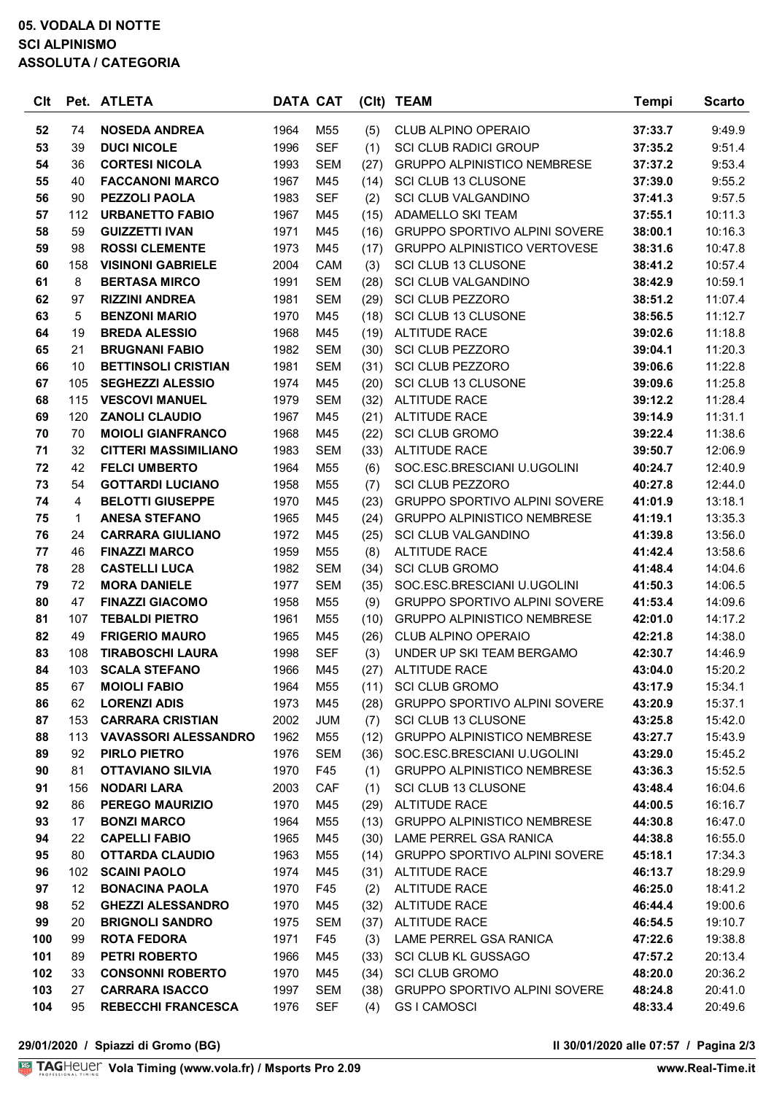### **05. VODALA DI NOTTE SCI ALPINISMO ASSOLUTA / CATEGORIA**

| Clt      |                | Pet. ATLETA                                     | <b>DATA CAT</b> |                 |             | (Clt) TEAM                                                                 | <b>Tempi</b>       | <b>Scarto</b>      |
|----------|----------------|-------------------------------------------------|-----------------|-----------------|-------------|----------------------------------------------------------------------------|--------------------|--------------------|
| 52       | 74             | <b>NOSEDA ANDREA</b>                            | 1964            | M <sub>55</sub> | (5)         | <b>CLUB ALPINO OPERAIO</b>                                                 | 37:33.7            | 9:49.9             |
| 53       | 39             | <b>DUCI NICOLE</b>                              | 1996            | <b>SEF</b>      | (1)         | <b>SCI CLUB RADICI GROUP</b>                                               | 37:35.2            | 9:51.4             |
| 54       | 36             | <b>CORTESI NICOLA</b>                           | 1993            | <b>SEM</b>      | (27)        | <b>GRUPPO ALPINISTICO NEMBRESE</b>                                         | 37:37.2            | 9:53.4             |
| 55       | 40             | <b>FACCANONI MARCO</b>                          | 1967            | M45             | (14)        | SCI CLUB 13 CLUSONE                                                        | 37:39.0            | 9:55.2             |
| 56       | 90             | <b>PEZZOLI PAOLA</b>                            | 1983            | <b>SEF</b>      | (2)         | <b>SCI CLUB VALGANDINO</b>                                                 | 37:41.3            | 9:57.5             |
| 57       | 112            | <b>URBANETTO FABIO</b>                          | 1967            | M45             | (15)        | ADAMELLO SKI TEAM                                                          | 37:55.1            | 10:11.3            |
| 58       | 59             | <b>GUIZZETTI IVAN</b>                           | 1971            | M45             | (16)        | GRUPPO SPORTIVO ALPINI SOVERE                                              | 38:00.1            | 10:16.3            |
| 59       | 98             | <b>ROSSI CLEMENTE</b>                           | 1973            | M45             | (17)        | <b>GRUPPO ALPINISTICO VERTOVESE</b>                                        | 38:31.6            | 10:47.8            |
| 60       | 158            | <b>VISINONI GABRIELE</b>                        | 2004            | CAM             | (3)         | SCI CLUB 13 CLUSONE                                                        | 38:41.2            | 10:57.4            |
| 61       | 8              | <b>BERTASA MIRCO</b>                            | 1991            | <b>SEM</b>      | (28)        | <b>SCI CLUB VALGANDINO</b>                                                 | 38:42.9            | 10:59.1            |
| 62       | 97             | <b>RIZZINI ANDREA</b>                           | 1981            | <b>SEM</b>      | (29)        | SCI CLUB PEZZORO                                                           | 38:51.2            | 11:07.4            |
| 63       | 5              | <b>BENZONI MARIO</b>                            | 1970            | M45             | (18)        | SCI CLUB 13 CLUSONE                                                        | 38:56.5            | 11:12.7            |
| 64       | 19             | <b>BREDA ALESSIO</b>                            | 1968            | M45             | (19)        | <b>ALTITUDE RACE</b>                                                       | 39:02.6            | 11:18.8            |
| 65       | 21             | <b>BRUGNANI FABIO</b>                           | 1982            | <b>SEM</b>      | (30)        | <b>SCI CLUB PEZZORO</b>                                                    | 39:04.1            | 11:20.3            |
| 66       | 10             | <b>BETTINSOLI CRISTIAN</b>                      | 1981            | <b>SEM</b>      | (31)        | <b>SCI CLUB PEZZORO</b>                                                    | 39:06.6            | 11:22.8            |
| 67       | 105            | <b>SEGHEZZI ALESSIO</b>                         | 1974            | M45             | (20)        | SCI CLUB 13 CLUSONE                                                        | 39:09.6            | 11:25.8            |
| 68       | 115            | <b>VESCOVI MANUEL</b>                           | 1979            | <b>SEM</b>      | (32)        | <b>ALTITUDE RACE</b>                                                       | 39:12.2            | 11:28.4            |
| 69       | 120            | <b>ZANOLI CLAUDIO</b>                           | 1967            | M45             | (21)        | <b>ALTITUDE RACE</b>                                                       | 39:14.9            | 11:31.1            |
| 70       | 70             | <b>MOIOLI GIANFRANCO</b>                        | 1968            | M45             | (22)        | <b>SCI CLUB GROMO</b>                                                      | 39:22.4            | 11:38.6            |
| 71       | 32             | <b>CITTERI MASSIMILIANO</b>                     | 1983            | <b>SEM</b>      | (33)        | <b>ALTITUDE RACE</b>                                                       | 39:50.7            | 12:06.9            |
| 72       | 42             | <b>FELCI UMBERTO</b>                            | 1964            | M55             | (6)         | SOC.ESC.BRESCIANI U.UGOLINI                                                | 40:24.7            | 12:40.9            |
| 73       | 54             | <b>GOTTARDI LUCIANO</b>                         | 1958            | M55             | (7)         | <b>SCI CLUB PEZZORO</b>                                                    | 40:27.8            | 12:44.0            |
| 74       | $\overline{4}$ | <b>BELOTTI GIUSEPPE</b>                         | 1970            | M45             | (23)        | <b>GRUPPO SPORTIVO ALPINI SOVERE</b>                                       | 41:01.9            | 13:18.1            |
| 75       | $\mathbf 1$    | <b>ANESA STEFANO</b>                            | 1965            | M45             | (24)        | <b>GRUPPO ALPINISTICO NEMBRESE</b>                                         | 41:19.1            | 13:35.3            |
| 76       | 24             | <b>CARRARA GIULIANO</b>                         | 1972            | M45             | (25)        | <b>SCI CLUB VALGANDINO</b>                                                 | 41:39.8            | 13:56.0            |
| 77       | 46             | <b>FINAZZI MARCO</b>                            | 1959            | M55             | (8)         | <b>ALTITUDE RACE</b>                                                       | 41:42.4            | 13:58.6            |
| 78       | 28             | <b>CASTELLI LUCA</b>                            | 1982            | <b>SEM</b>      | (34)        | <b>SCI CLUB GROMO</b>                                                      | 41:48.4            | 14:04.6            |
| 79       | 72             | <b>MORA DANIELE</b>                             | 1977            | <b>SEM</b>      | (35)        | SOC.ESC.BRESCIANI U.UGOLINI                                                | 41:50.3            | 14:06.5            |
| 80       | 47<br>107      | <b>FINAZZI GIACOMO</b><br><b>TEBALDI PIETRO</b> | 1958            | M55             | (9)         | <b>GRUPPO SPORTIVO ALPINI SOVERE</b><br><b>GRUPPO ALPINISTICO NEMBRESE</b> | 41:53.4            | 14:09.6            |
| 81<br>82 | 49             | <b>FRIGERIO MAURO</b>                           | 1961<br>1965    | M55<br>M45      | (10)        | <b>CLUB ALPINO OPERAIO</b>                                                 | 42:01.0<br>42:21.8 | 14:17.2<br>14:38.0 |
| 83       | 108            | <b>TIRABOSCHI LAURA</b>                         | 1998            | <b>SEF</b>      | (26)<br>(3) | UNDER UP SKI TEAM BERGAMO                                                  | 42:30.7            | 14:46.9            |
| 84       | 103            | <b>SCALA STEFANO</b>                            | 1966            | M45             | (27)        | <b>ALTITUDE RACE</b>                                                       | 43:04.0            | 15:20.2            |
| 85       | 67             | <b>MOIOLI FABIO</b>                             | 1964            | M55             | (11)        | <b>SCI CLUB GROMO</b>                                                      | 43:17.9            | 15:34.1            |
| 86       | 62             | <b>LORENZI ADIS</b>                             | 1973            | M45             | (28)        | <b>GRUPPO SPORTIVO ALPINI SOVERE</b>                                       | 43:20.9            | 15:37.1            |
| 87       | 153            | <b>CARRARA CRISTIAN</b>                         | 2002            | JUM             | (7)         | SCI CLUB 13 CLUSONE                                                        | 43:25.8            | 15:42.0            |
| 88       | 113            | <b>VAVASSORI ALESSANDRO</b>                     | 1962            | M55             | (12)        | <b>GRUPPO ALPINISTICO NEMBRESE</b>                                         | 43:27.7            | 15:43.9            |
| 89       | 92             | PIRLO PIETRO                                    | 1976            | <b>SEM</b>      | (36)        | SOC.ESC.BRESCIANI U.UGOLINI                                                | 43:29.0            | 15:45.2            |
| 90       | 81             | <b>OTTAVIANO SILVIA</b>                         | 1970            | F45             | (1)         | <b>GRUPPO ALPINISTICO NEMBRESE</b>                                         | 43:36.3            | 15:52.5            |
| 91       | 156            | <b>NODARI LARA</b>                              | 2003            | CAF             | (1)         | SCI CLUB 13 CLUSONE                                                        | 43:48.4            | 16:04.6            |
| 92       | 86             | PEREGO MAURIZIO                                 | 1970            | M45             | (29)        | <b>ALTITUDE RACE</b>                                                       | 44:00.5            | 16:16.7            |
| 93       | 17             | <b>BONZI MARCO</b>                              | 1964            | M55             | (13)        | <b>GRUPPO ALPINISTICO NEMBRESE</b>                                         | 44:30.8            | 16:47.0            |
| 94       | 22             | <b>CAPELLI FABIO</b>                            | 1965            | M45             |             | (30) LAME PERREL GSA RANICA                                                | 44:38.8            | 16:55.0            |
| 95       | 80             | <b>OTTARDA CLAUDIO</b>                          | 1963            | M55             |             | (14) GRUPPO SPORTIVO ALPINI SOVERE                                         | 45:18.1            | 17:34.3            |
| 96       | 102            | <b>SCAINI PAOLO</b>                             | 1974            | M45             |             | (31) ALTITUDE RACE                                                         | 46:13.7            | 18:29.9            |
| 97       | 12             | <b>BONACINA PAOLA</b>                           | 1970            | F45             | (2)         | <b>ALTITUDE RACE</b>                                                       | 46:25.0            | 18:41.2            |
| 98       | 52             | <b>GHEZZI ALESSANDRO</b>                        | 1970            | M45             | (32)        | <b>ALTITUDE RACE</b>                                                       | 46:44.4            | 19:00.6            |
| 99       | 20             | <b>BRIGNOLI SANDRO</b>                          | 1975            | <b>SEM</b>      | (37)        | <b>ALTITUDE RACE</b>                                                       | 46:54.5            | 19:10.7            |
| 100      | 99             | <b>ROTA FEDORA</b>                              | 1971            | F45             | (3)         | LAME PERREL GSA RANICA                                                     | 47:22.6            | 19:38.8            |
| 101      | 89             | <b>PETRI ROBERTO</b>                            | 1966            | M45             |             | (33) SCI CLUB KL GUSSAGO                                                   | 47:57.2            | 20:13.4            |
| 102      | 33             | <b>CONSONNI ROBERTO</b>                         | 1970            | M45             | (34)        | <b>SCI CLUB GROMO</b>                                                      | 48:20.0            | 20:36.2            |
| 103      | 27             | <b>CARRARA ISACCO</b>                           | 1997            | <b>SEM</b>      | (38)        | <b>GRUPPO SPORTIVO ALPINI SOVERE</b>                                       | 48:24.8            | 20:41.0            |
| 104      | 95             | <b>REBECCHI FRANCESCA</b>                       | 1976            | <b>SEF</b>      | (4)         | <b>GSI CAMOSCI</b>                                                         | 48:33.4            | 20:49.6            |
|          |                |                                                 |                 |                 |             |                                                                            |                    |                    |

**29/01/2020 / Spiazzi di Gromo (BG) Il 30/01/2020 alle 07:57 / Pagina 2/3**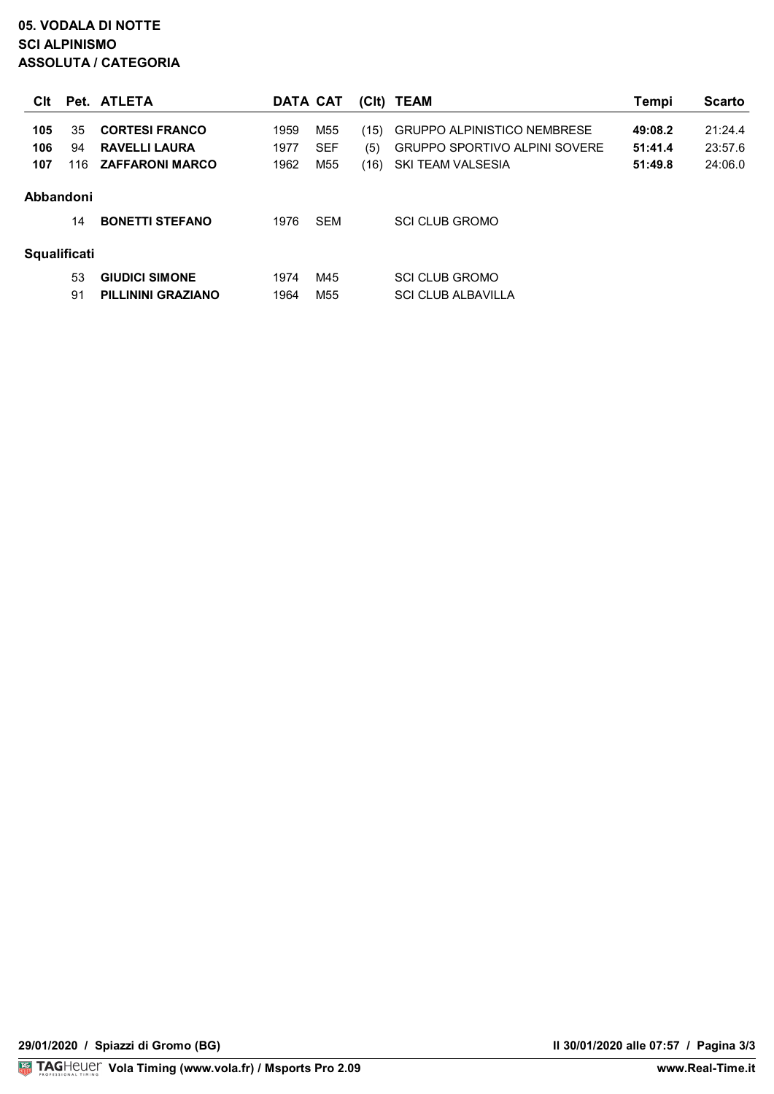## **05. VODALA DI NOTTE SCI ALPINISMO ASSOLUTA / CATEGORIA**

| Clt                 |     | Pet. ATLETA            | DATA CAT |                 |      | (CIt) TEAM                           | Tempi   | <b>Scarto</b> |
|---------------------|-----|------------------------|----------|-----------------|------|--------------------------------------|---------|---------------|
| 105                 | 35  | <b>CORTESI FRANCO</b>  | 1959     | M55             | (15) | <b>GRUPPO ALPINISTICO NEMBRESE</b>   | 49:08.2 | 21:24.4       |
| 106                 | 94  | <b>RAVELLI LAURA</b>   | 1977     | <b>SEF</b>      | (5)  | <b>GRUPPO SPORTIVO ALPINI SOVERE</b> | 51:41.4 | 23:57.6       |
| 107                 | 116 | <b>ZAFFARONI MARCO</b> | 1962     | M <sub>55</sub> | (16) | SKI TEAM VALSESIA                    | 51:49.8 | 24:06.0       |
| Abbandoni           | 14  | <b>BONETTI STEFANO</b> | 1976     | <b>SEM</b>      |      | <b>SCI CLUB GROMO</b>                |         |               |
| <b>Squalificati</b> |     |                        |          |                 |      |                                      |         |               |
|                     | 53  | <b>GIUDICI SIMONE</b>  | 1974     | M45             |      | <b>SCI CLUB GROMO</b>                |         |               |
|                     | 91  | PILLININI GRAZIANO     | 1964     | M55             |      | <b>SCI CLUB ALBAVILLA</b>            |         |               |

www.Real-Time.it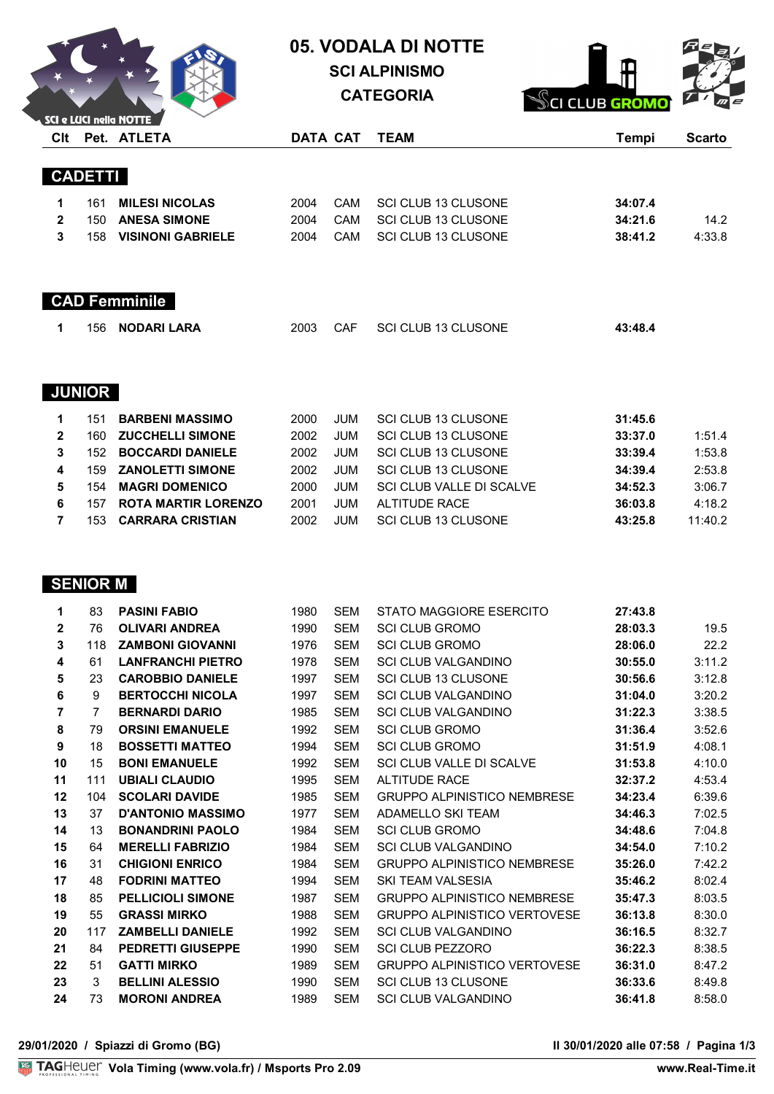

# **05. VODALA DI NOTTE**

**SCI ALPINISMO**

**CATEGORIA**



| Clt            |                | $\triangle$ SCI e LUCI nella NOTTE<br>Pet. ATLETA |      | DATA CAT   | <b>TEAM</b>                | <b>Tempi</b> | <b>Scarto</b> |
|----------------|----------------|---------------------------------------------------|------|------------|----------------------------|--------------|---------------|
|                |                |                                                   |      |            |                            |              |               |
|                | <b>CADETTI</b> |                                                   |      |            |                            |              |               |
| 1              | 161            | <b>MILESI NICOLAS</b>                             | 2004 | CAM        | <b>SCI CLUB 13 CLUSONE</b> | 34:07.4      |               |
| $\mathbf{2}$   | 150            | <b>ANESA SIMONE</b>                               | 2004 | CAM        | SCI CLUB 13 CLUSONE        | 34:21.6      | 14.2          |
| 3              | 158            | <b>VISINONI GABRIELE</b>                          | 2004 | CAM        | <b>SCI CLUB 13 CLUSONE</b> | 38:41.2      | 4:33.8        |
|                |                | <b>CAD Femminile</b>                              |      |            |                            |              |               |
| 1              | 156            | <b>NODARI LARA</b>                                | 2003 | <b>CAF</b> | <b>SCI CLUB 13 CLUSONE</b> | 43:48.4      |               |
|                | <b>JUNIOR</b>  |                                                   |      |            |                            |              |               |
| 1              | 151            | <b>BARBENI MASSIMO</b>                            | 2000 | <b>JUM</b> | <b>SCI CLUB 13 CLUSONE</b> | 31:45.6      |               |
| $\mathbf{2}$   | 160            | <b>ZUCCHELLI SIMONE</b>                           | 2002 | <b>JUM</b> | <b>SCI CLUB 13 CLUSONE</b> | 33:37.0      | 1:51.4        |
| 3              | 152            | <b>BOCCARDI DANIELE</b>                           | 2002 | <b>JUM</b> | SCI CLUB 13 CLUSONE        | 33:39.4      | 1:53.8        |
| 4              | 159            | <b>ZANOLETTI SIMONE</b>                           | 2002 | <b>JUM</b> | <b>SCI CLUB 13 CLUSONE</b> | 34:39.4      | 2:53.8        |
| 5              | 154            | <b>MAGRI DOMENICO</b>                             | 2000 | <b>JUM</b> | SCI CLUB VALLE DI SCALVE   | 34:52.3      | 3:06.7        |
| 6              | 157            | <b>ROTA MARTIR LORENZO</b>                        | 2001 | <b>JUM</b> | <b>ALTITUDE RACE</b>       | 36:03.8      | 4:18.2        |
| $\overline{7}$ | 153            | <b>CARRARA CRISTIAN</b>                           | 2002 | <b>JUM</b> | <b>SCI CLUB 13 CLUSONE</b> | 43:25.8      | 11:40.2       |

# **SENIOR M**

| 1            | 83             | <b>PASINI FABIO</b>      | 1980 | <b>SEM</b> | STATO MAGGIORE ESERCITO             | 27:43.8 |        |
|--------------|----------------|--------------------------|------|------------|-------------------------------------|---------|--------|
| $\mathbf{2}$ | 76             | <b>OLIVARI ANDREA</b>    | 1990 | <b>SEM</b> | <b>SCI CLUB GROMO</b>               | 28:03.3 | 19.5   |
| 3            | 118            | <b>ZAMBONI GIOVANNI</b>  | 1976 | <b>SEM</b> | <b>SCI CLUB GROMO</b>               | 28:06.0 | 22.2   |
| 4            | 61             | <b>LANFRANCHI PIETRO</b> | 1978 | <b>SEM</b> | <b>SCI CLUB VALGANDINO</b>          | 30:55.0 | 3:11.2 |
| 5            | 23             | <b>CAROBBIO DANIELE</b>  | 1997 | <b>SEM</b> | <b>SCI CLUB 13 CLUSONE</b>          | 30:56.6 | 3:12.8 |
| 6            | 9              | <b>BERTOCCHI NICOLA</b>  | 1997 | <b>SEM</b> | <b>SCI CLUB VALGANDINO</b>          | 31:04.0 | 3:20.2 |
| 7            | $\overline{7}$ | <b>BERNARDI DARIO</b>    | 1985 | <b>SEM</b> | <b>SCI CLUB VALGANDINO</b>          | 31:22.3 | 3:38.5 |
| 8            | 79             | <b>ORSINI EMANUELE</b>   | 1992 | <b>SEM</b> | <b>SCI CLUB GROMO</b>               | 31:36.4 | 3:52.6 |
| 9            | 18             | <b>BOSSETTI MATTEO</b>   | 1994 | <b>SEM</b> | <b>SCI CLUB GROMO</b>               | 31:51.9 | 4:08.1 |
| 10           | 15             | <b>BONI EMANUELE</b>     | 1992 | <b>SEM</b> | <b>SCI CLUB VALLE DI SCALVE</b>     | 31:53.8 | 4:10.0 |
| 11           | 111            | <b>UBIALI CLAUDIO</b>    | 1995 | <b>SEM</b> | <b>ALTITUDE RACE</b>                | 32:37.2 | 4:53.4 |
| 12           | 104            | <b>SCOLARI DAVIDE</b>    | 1985 | <b>SEM</b> | <b>GRUPPO ALPINISTICO NEMBRESE</b>  | 34:23.4 | 6:39.6 |
| 13           | 37             | <b>D'ANTONIO MASSIMO</b> | 1977 | <b>SEM</b> | ADAMELLO SKI TEAM                   | 34:46.3 | 7:02.5 |
| 14           | 13             | <b>BONANDRINI PAOLO</b>  | 1984 | <b>SEM</b> | <b>SCI CLUB GROMO</b>               | 34:48.6 | 7:04.8 |
| 15           | 64             | <b>MERELLI FABRIZIO</b>  | 1984 | <b>SEM</b> | <b>SCI CLUB VALGANDINO</b>          | 34:54.0 | 7:10.2 |
| 16           | 31             | <b>CHIGIONI ENRICO</b>   | 1984 | <b>SEM</b> | <b>GRUPPO ALPINISTICO NEMBRESE</b>  | 35:26.0 | 7:42.2 |
| 17           | 48             | <b>FODRINI MATTEO</b>    | 1994 | <b>SEM</b> | SKI TFAM VAI SFSIA                  | 35:46.2 | 8:02.4 |
| 18           | 85             | <b>PELLICIOLI SIMONE</b> | 1987 | <b>SEM</b> | <b>GRUPPO ALPINISTICO NEMBRESE</b>  | 35:47.3 | 8:03.5 |
| 19           | 55             | <b>GRASSI MIRKO</b>      | 1988 | <b>SEM</b> | <b>GRUPPO ALPINISTICO VERTOVESE</b> | 36:13.8 | 8:30.0 |
| 20           | 117            | <b>ZAMBELLI DANIELE</b>  | 1992 | <b>SEM</b> | <b>SCI CLUB VALGANDINO</b>          | 36:16.5 | 8:32.7 |
| 21           | 84             | <b>PEDRETTI GIUSEPPE</b> | 1990 | <b>SEM</b> | <b>SCI CLUB PEZZORO</b>             | 36:22.3 | 8:38.5 |
| 22           | 51             | <b>GATTI MIRKO</b>       | 1989 | <b>SEM</b> | <b>GRUPPO ALPINISTICO VERTOVESE</b> | 36:31.0 | 8:47.2 |
| 23           | 3              | <b>BELLINI ALESSIO</b>   | 1990 | <b>SEM</b> | <b>SCI CLUB 13 CLUSONE</b>          | 36:33.6 | 8:49.8 |
| 24           | 73             | <b>MORONI ANDREA</b>     | 1989 | <b>SEM</b> | <b>SCI CLUB VALGANDINO</b>          | 36:41.8 | 8:58.0 |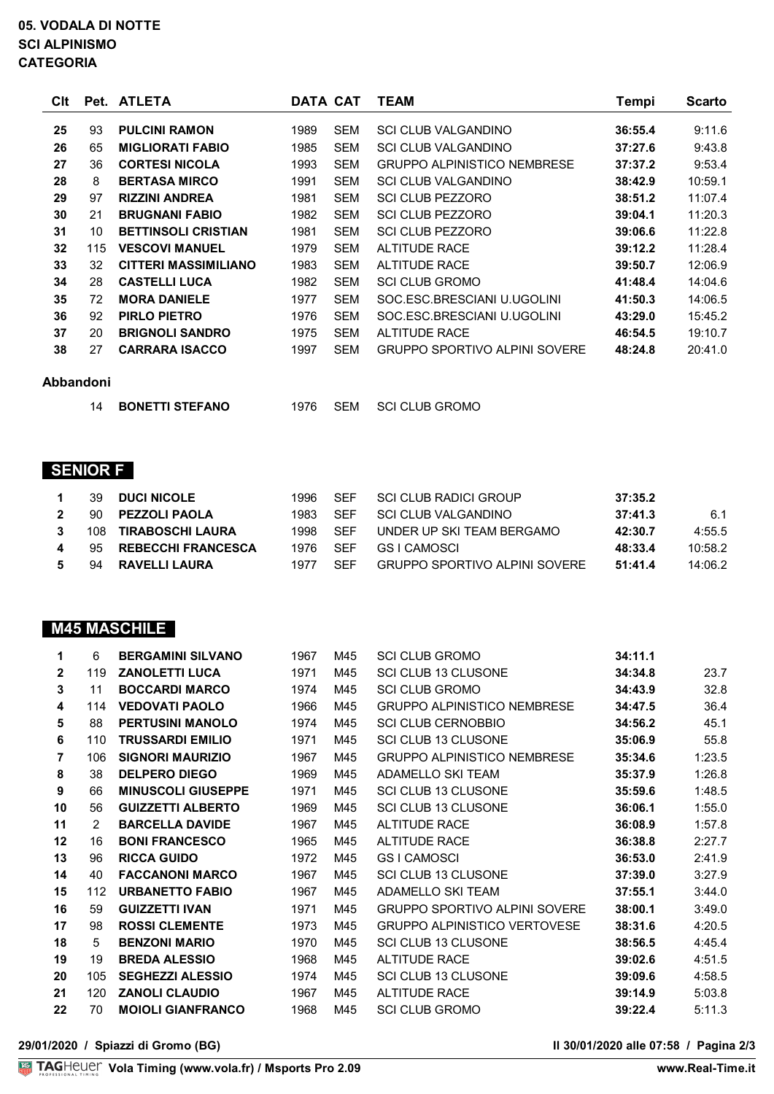### **05. VODALA DI NOTTE SCI ALPINISMO CATEGORIA**

| Clt |     | Pet. ATLETA                 |      | DATA CAT   | <b>TEAM</b>                          | Tempi   | Scarto  |
|-----|-----|-----------------------------|------|------------|--------------------------------------|---------|---------|
| 25  | 93  | <b>PULCINI RAMON</b>        | 1989 | <b>SEM</b> | <b>SCI CLUB VALGANDINO</b>           | 36:55.4 | 9:11.6  |
| 26  | 65  | <b>MIGLIORATI FABIO</b>     | 1985 | <b>SEM</b> | <b>SCI CLUB VALGANDINO</b>           | 37:27.6 | 9:43.8  |
| 27  | 36  | <b>CORTESI NICOLA</b>       | 1993 | <b>SEM</b> | <b>GRUPPO ALPINISTICO NEMBRESE</b>   | 37:37.2 | 9:53.4  |
| 28  | 8   | <b>BERTASA MIRCO</b>        | 1991 | <b>SEM</b> | <b>SCI CLUB VALGANDINO</b>           | 38:42.9 | 10:59.1 |
| 29  | 97  | <b>RIZZINI ANDREA</b>       | 1981 | <b>SEM</b> | <b>SCI CLUB PEZZORO</b>              | 38:51.2 | 11:07.4 |
| 30  | 21  | <b>BRUGNANI FABIO</b>       | 1982 | <b>SEM</b> | SCI CLUB PEZZORO                     | 39:04.1 | 11:20.3 |
| 31  | 10  | <b>BETTINSOLI CRISTIAN</b>  | 1981 | <b>SEM</b> | <b>SCI CLUB PEZZORO</b>              | 39:06.6 | 11:22.8 |
| 32  | 115 | <b>VESCOVI MANUEL</b>       | 1979 | <b>SEM</b> | <b>ALTITUDE RACE</b>                 | 39:12.2 | 11:28.4 |
| 33  | 32  | <b>CITTERI MASSIMILIANO</b> | 1983 | <b>SEM</b> | AI TITUDE RACE                       | 39:50.7 | 12:06.9 |
| 34  | 28  | <b>CASTELLI LUCA</b>        | 1982 | <b>SEM</b> | <b>SCI CLUB GROMO</b>                | 41:48.4 | 14:04.6 |
| 35  | 72  | <b>MORA DANIELE</b>         | 1977 | <b>SEM</b> | SOC.ESC.BRESCIANI U.UGOLINI          | 41:50.3 | 14:06.5 |
| 36  | 92  | <b>PIRLO PIETRO</b>         | 1976 | <b>SEM</b> | SOC.ESC.BRESCIANI U.UGOLINI          | 43:29.0 | 15:45.2 |
| 37  | 20  | <b>BRIGNOLI SANDRO</b>      | 1975 | <b>SEM</b> | <b>ALTITUDE RACE</b>                 | 46:54.5 | 19:10.7 |
| 38  | 27  | <b>CARRARA ISACCO</b>       | 1997 | <b>SEM</b> | <b>GRUPPO SPORTIVO ALPINI SOVERE</b> | 48:24.8 | 20:41.0 |
|     |     |                             |      |            |                                      |         |         |

#### **Abbandoni**

**BONETTI STEFANO** 1976 SEM SCI CLUB GROMO

# **SENIOR F**

| $\overline{\mathbf{1}}$ | 39  | <b>DUCI NICOLE</b>        | 1996  | <b>SFF</b> | SCI CLUB RADICI GROUP         | 37:35.2 |         |
|-------------------------|-----|---------------------------|-------|------------|-------------------------------|---------|---------|
| $2^{\circ}$             | 90  | <b>PEZZOLI PAOLA</b>      | 1983. | <b>SFF</b> | SCI CLUB VALGANDINO           | 37:41.3 | 6.1     |
| 3                       | 108 | TIRABOSCHI LAURA          | 1998  | <b>SFF</b> | UNDER UP SKI TEAM BERGAMO     | 42:30.7 | 4:55.5  |
| 4                       | -95 | <b>REBECCHI FRANCESCA</b> | 1976  | <b>SFF</b> | GS I CAMOSCI                  | 48:33.4 | 10:58.2 |
| 5.                      | 94  | <b>RAVELLI LAURA</b>      | 1977  | <b>SFF</b> | GRUPPO SPORTIVO ALPINI SOVERE | 51:41.4 | 14:06.2 |

# **M45 MASCHILE**

| 1              | 6   | <b>BERGAMINI SILVANO</b>  | 1967 | M45 | <b>SCI CLUB GROMO</b>                | 34:11.1 |        |
|----------------|-----|---------------------------|------|-----|--------------------------------------|---------|--------|
| $\mathbf{2}$   | 119 | <b>ZANOLETTI LUCA</b>     | 1971 | M45 | <b>SCI CLUB 13 CLUSONE</b>           | 34:34.8 | 23.7   |
| 3              | 11  | <b>BOCCARDI MARCO</b>     | 1974 | M45 | <b>SCI CLUB GROMO</b>                | 34:43.9 | 32.8   |
| 4              | 114 | <b>VEDOVATI PAOLO</b>     | 1966 | M45 | <b>GRUPPO ALPINISTICO NEMBRESE</b>   | 34:47.5 | 36.4   |
| 5              | 88  | <b>PERTUSINI MANOLO</b>   | 1974 | M45 | <b>SCI CLUB CERNOBBIO</b>            | 34:56.2 | 45.1   |
| 6              | 110 | <b>TRUSSARDI EMILIO</b>   | 1971 | M45 | <b>SCI CLUB 13 CLUSONE</b>           | 35:06.9 | 55.8   |
| $\overline{7}$ | 106 | <b>SIGNORI MAURIZIO</b>   | 1967 | M45 | <b>GRUPPO ALPINISTICO NEMBRESE</b>   | 35:34.6 | 1:23.5 |
| 8              | 38  | <b>DELPERO DIEGO</b>      | 1969 | M45 | ADAMELLO SKI TEAM                    | 35:37.9 | 1:26.8 |
| 9              | 66  | <b>MINUSCOLI GIUSEPPE</b> | 1971 | M45 | <b>SCI CLUB 13 CLUSONE</b>           | 35:59.6 | 1:48.5 |
| 10             | 56  | <b>GUIZZETTI ALBERTO</b>  | 1969 | M45 | <b>SCI CLUB 13 CLUSONE</b>           | 36:06.1 | 1:55.0 |
| 11             | 2   | <b>BARCELLA DAVIDE</b>    | 1967 | M45 | <b>ALTITUDE RACE</b>                 | 36:08.9 | 1:57.8 |
| 12             | 16  | <b>BONI FRANCESCO</b>     | 1965 | M45 | <b>ALTITUDE RACE</b>                 | 36:38.8 | 2:27.7 |
| 13             | 96  | <b>RICCA GUIDO</b>        | 1972 | M45 | <b>GSI CAMOSCI</b>                   | 36:53.0 | 2:41.9 |
| 14             | 40  | <b>FACCANONI MARCO</b>    | 1967 | M45 | <b>SCI CLUB 13 CLUSONE</b>           | 37:39.0 | 3:27.9 |
| 15             | 112 | <b>URBANETTO FABIO</b>    | 1967 | M45 | ADAMELLO SKI TEAM                    | 37:55.1 | 3:44.0 |
| 16             | 59  | <b>GUIZZETTI IVAN</b>     | 1971 | M45 | <b>GRUPPO SPORTIVO ALPINI SOVERE</b> | 38:00.1 | 3:49.0 |
| 17             | 98  | <b>ROSSI CLEMENTE</b>     | 1973 | M45 | <b>GRUPPO ALPINISTICO VERTOVESE</b>  | 38:31.6 | 4:20.5 |
| 18             | 5   | <b>BENZONI MARIO</b>      | 1970 | M45 | <b>SCI CLUB 13 CLUSONE</b>           | 38:56.5 | 4:45.4 |
| 19             | 19  | <b>BREDA ALESSIO</b>      | 1968 | M45 | <b>ALTITUDE RACE</b>                 | 39:02.6 | 4:51.5 |
| 20             | 105 | <b>SEGHEZZI ALESSIO</b>   | 1974 | M45 | SCI CLUB 13 CLUSONE                  | 39:09.6 | 4:58.5 |
| 21             | 120 | <b>ZANOLI CLAUDIO</b>     | 1967 | M45 | <b>ALTITUDE RACE</b>                 | 39:14.9 | 5:03.8 |
| 22             | 70  | <b>MOIOLI GIANFRANCO</b>  | 1968 | M45 | <b>SCI CLUB GROMO</b>                | 39:22.4 | 5:11.3 |
|                |     |                           |      |     |                                      |         |        |

**29/01/2020 / Spiazzi di Gromo (BG) Il 30/01/2020 alle 07:58 / Pagina 2/3**